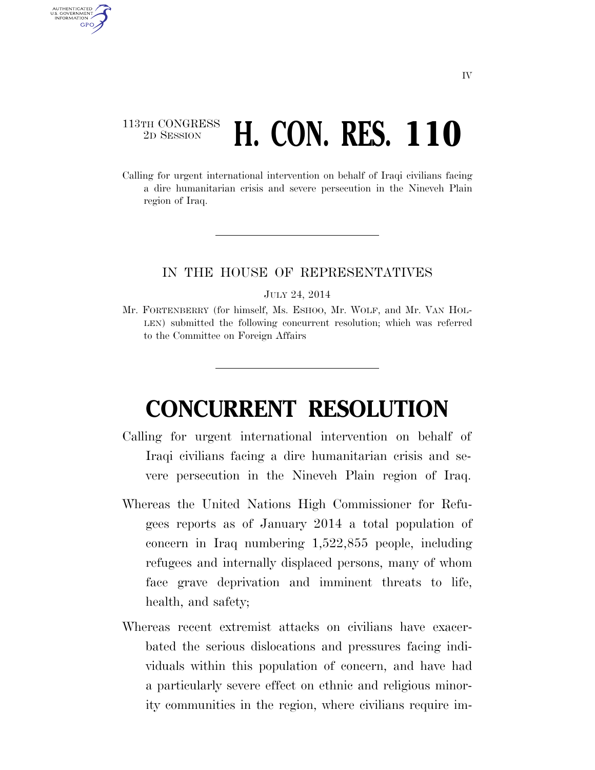## 113TH CONGRESS <sup>TH CONGRESS</sup> H. CON. RES. 110

AUTHENTICATED U.S. GOVERNMENT **GPO** 

> Calling for urgent international intervention on behalf of Iraqi civilians facing a dire humanitarian crisis and severe persecution in the Nineveh Plain region of Iraq.

## IN THE HOUSE OF REPRESENTATIVES

JULY 24, 2014

Mr. FORTENBERRY (for himself, Ms. ESHOO, Mr. WOLF, and Mr. VAN HOL-LEN) submitted the following concurrent resolution; which was referred to the Committee on Foreign Affairs

## **CONCURRENT RESOLUTION**

- Calling for urgent international intervention on behalf of Iraqi civilians facing a dire humanitarian crisis and severe persecution in the Nineveh Plain region of Iraq.
- Whereas the United Nations High Commissioner for Refugees reports as of January 2014 a total population of concern in Iraq numbering 1,522,855 people, including refugees and internally displaced persons, many of whom face grave deprivation and imminent threats to life, health, and safety;
- Whereas recent extremist attacks on civilians have exacerbated the serious dislocations and pressures facing individuals within this population of concern, and have had a particularly severe effect on ethnic and religious minority communities in the region, where civilians require im-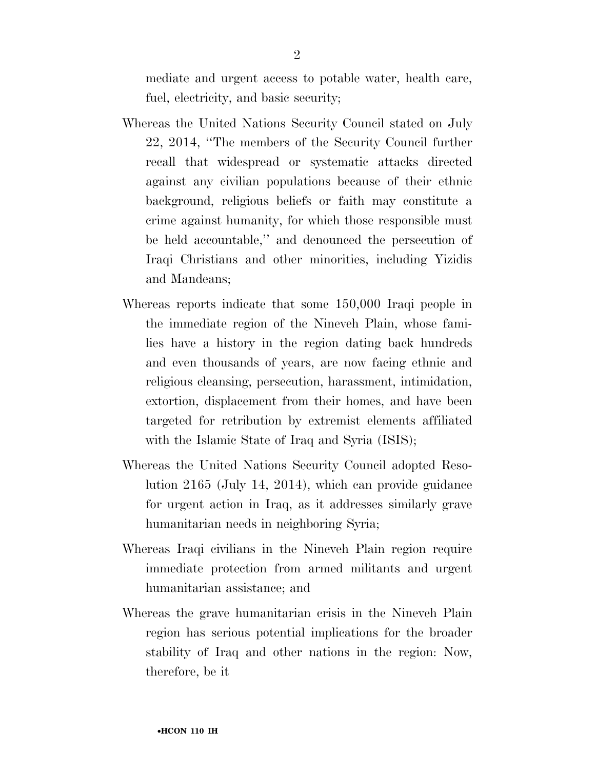mediate and urgent access to potable water, health care, fuel, electricity, and basic security;

- Whereas the United Nations Security Council stated on July 22, 2014, ''The members of the Security Council further recall that widespread or systematic attacks directed against any civilian populations because of their ethnic background, religious beliefs or faith may constitute a crime against humanity, for which those responsible must be held accountable,'' and denounced the persecution of Iraqi Christians and other minorities, including Yizidis and Mandeans;
- Whereas reports indicate that some 150,000 Iraqi people in the immediate region of the Nineveh Plain, whose families have a history in the region dating back hundreds and even thousands of years, are now facing ethnic and religious cleansing, persecution, harassment, intimidation, extortion, displacement from their homes, and have been targeted for retribution by extremist elements affiliated with the Islamic State of Iraq and Syria (ISIS);
- Whereas the United Nations Security Council adopted Resolution 2165 (July 14, 2014), which can provide guidance for urgent action in Iraq, as it addresses similarly grave humanitarian needs in neighboring Syria;
- Whereas Iraqi civilians in the Nineveh Plain region require immediate protection from armed militants and urgent humanitarian assistance; and
- Whereas the grave humanitarian crisis in the Nineveh Plain region has serious potential implications for the broader stability of Iraq and other nations in the region: Now, therefore, be it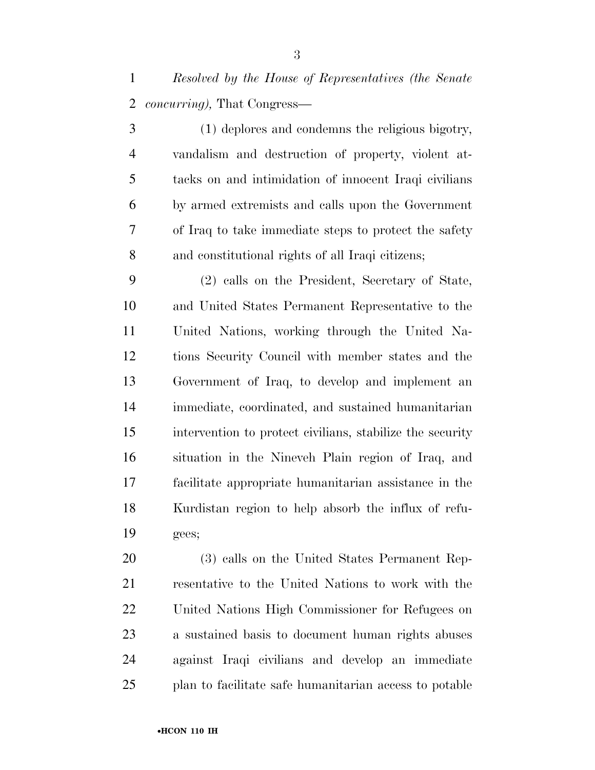*Resolved by the House of Representatives (the Senate concurring),* That Congress—

 (1) deplores and condemns the religious bigotry, vandalism and destruction of property, violent at- tacks on and intimidation of innocent Iraqi civilians by armed extremists and calls upon the Government of Iraq to take immediate steps to protect the safety and constitutional rights of all Iraqi citizens;

 (2) calls on the President, Secretary of State, and United States Permanent Representative to the United Nations, working through the United Na- tions Security Council with member states and the Government of Iraq, to develop and implement an immediate, coordinated, and sustained humanitarian intervention to protect civilians, stabilize the security situation in the Nineveh Plain region of Iraq, and facilitate appropriate humanitarian assistance in the Kurdistan region to help absorb the influx of refu-gees;

 (3) calls on the United States Permanent Rep- resentative to the United Nations to work with the United Nations High Commissioner for Refugees on a sustained basis to document human rights abuses against Iraqi civilians and develop an immediate plan to facilitate safe humanitarian access to potable